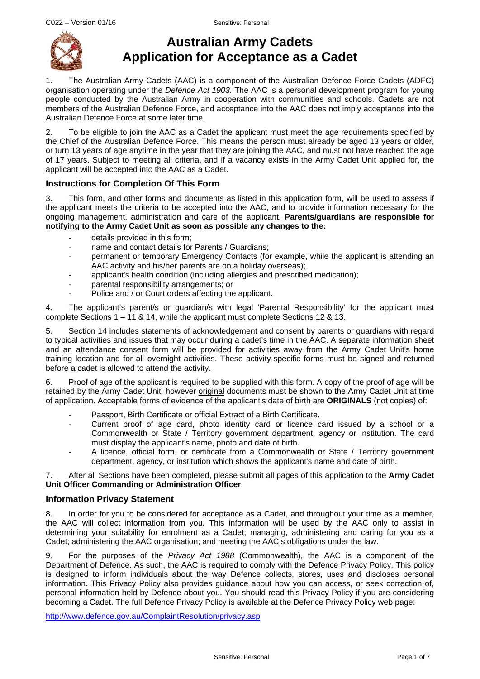

# **Australian Army Cadets Application for Acceptance as a Cadet**

1. The Australian Army Cadets (AAC) is a component of the Australian Defence Force Cadets (ADFC) organisation operating under the *Defence Act 1903.* The AAC is a personal development program for young people conducted by the Australian Army in cooperation with communities and schools. Cadets are not members of the Australian Defence Force, and acceptance into the AAC does not imply acceptance into the Australian Defence Force at some later time.

2. To be eligible to join the AAC as a Cadet the applicant must meet the age requirements specified by the Chief of the Australian Defence Force. This means the person must already be aged 13 years or older, or turn 13 years of age anytime in the year that they are joining the AAC, and must not have reached the age of 17 years. Subject to meeting all criteria, and if a vacancy exists in the Army Cadet Unit applied for, the applicant will be accepted into the AAC as a Cadet.

# **Instructions for Completion Of This Form**

3. This form, and other forms and documents as listed in this application form, will be used to assess if the applicant meets the criteria to be accepted into the AAC, and to provide information necessary for the ongoing management, administration and care of the applicant. **Parents/guardians are responsible for notifying to the Army Cadet Unit as soon as possible any changes to the:**

- details provided in this form;
- name and contact details for Parents / Guardians:
- permanent or temporary Emergency Contacts (for example, while the applicant is attending an AAC activity and his/her parents are on a holiday overseas);
- applicant's health condition (including allergies and prescribed medication);
- parental responsibility arrangements; or
- Police and / or Court orders affecting the applicant.

4. The applicant's parent/s or guardian/s with legal 'Parental Responsibility' for the applicant must complete Sections  $1 - 11$  & 14, while the applicant must complete Sections 12 & 13.

5. Section 14 includes statements of acknowledgement and consent by parents or guardians with regard to typical activities and issues that may occur during a cadet's time in the AAC. A separate information sheet and an attendance consent form will be provided for activities away from the Army Cadet Unit's home training location and for all overnight activities. These activity-specific forms must be signed and returned before a cadet is allowed to attend the activity.

6. Proof of age of the applicant is required to be supplied with this form. A copy of the proof of age will be retained by the Army Cadet Unit, however original documents must be shown to the Army Cadet Unit at time of application. Acceptable forms of evidence of the applicant's date of birth are **ORIGINALS** (not copies) of:

- Passport, Birth Certificate or official Extract of a Birth Certificate.
- Current proof of age card, photo identity card or licence card issued by a school or a Commonwealth or State / Territory government department, agency or institution. The card must display the applicant's name, photo and date of birth.
- A licence, official form, or certificate from a Commonwealth or State / Territory government department, agency, or institution which shows the applicant's name and date of birth.

7. After all Sections have been completed, please submit all pages of this application to the **Army Cadet Unit Officer Commanding or Administration Officer**.

### **Information Privacy Statement**

8. In order for you to be considered for acceptance as a Cadet, and throughout your time as a member, the AAC will collect information from you. This information will be used by the AAC only to assist in determining your suitability for enrolment as a Cadet; managing, administering and caring for you as a Cadet; administering the AAC organisation; and meeting the AAC's obligations under the law.

9. For the purposes of the *Privacy Act 1988* (Commonwealth), the AAC is a component of the Department of Defence. As such, the AAC is required to comply with the Defence Privacy Policy. This policy is designed to inform individuals about the way Defence collects, stores, uses and discloses personal information. This Privacy Policy also provides guidance about how you can access, or seek correction of, personal information held by Defence about you. You should read this Privacy Policy if you are considering becoming a Cadet. The full Defence Privacy Policy is available at the Defence Privacy Policy web page:

<http://www.defence.gov.au/ComplaintResolution/privacy.asp>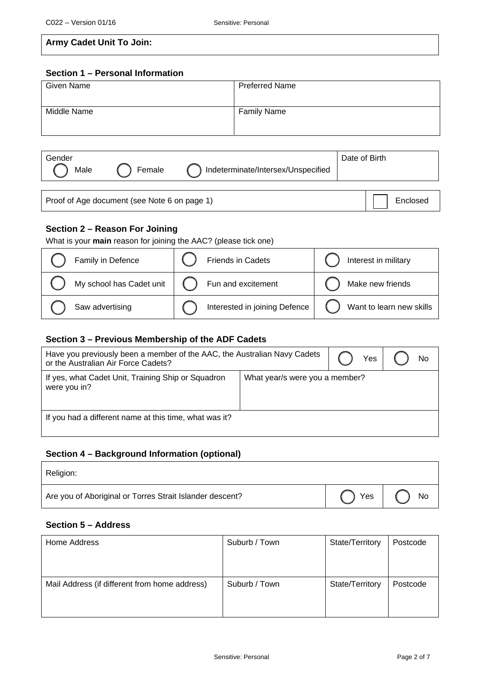| <b>Army Cadet Unit To Join:</b> |  |  |  |  |
|---------------------------------|--|--|--|--|
|---------------------------------|--|--|--|--|

### **Section 1 – Personal Information**

| Given Name  | <b>Preferred Name</b> |
|-------------|-----------------------|
| Middle Name | <b>Family Name</b>    |

| Gender<br>Male | Female | Indeterminate/Intersex/Unspecified | Date of Birth |
|----------------|--------|------------------------------------|---------------|
|                |        |                                    |               |

Proof of Age document (see Note 6 on page 1) enclosed

# **Section 2 – Reason For Joining**

|  |  | What is your main reason for joining the AAC? (please tick one) |  |
|--|--|-----------------------------------------------------------------|--|
|  |  |                                                                 |  |

| Family in Defence        | Friends in Cadets             | Interest in military     |
|--------------------------|-------------------------------|--------------------------|
| My school has Cadet unit | Fun and excitement            | Make new friends         |
| Saw advertising          | Interested in joining Defence | Want to learn new skills |

### **Section 3 – Previous Membership of the ADF Cadets**

| Have you previously been a member of the AAC, the Australian Navy Cadets<br>or the Australian Air Force Cadets? | Yes                            | <b>No</b> |  |
|-----------------------------------------------------------------------------------------------------------------|--------------------------------|-----------|--|
| If yes, what Cadet Unit, Training Ship or Squadron<br>were you in?                                              | What year/s were you a member? |           |  |
| If you had a different name at this time, what was it?                                                          |                                |           |  |

# **Section 4 – Background Information (optional)**

| Religion:                                                |                    |
|----------------------------------------------------------|--------------------|
| Are you of Aboriginal or Torres Strait Islander descent? | Yes $\vert$ ( ) No |

# **Section 5 – Address**

| Home Address                                  | Suburb / Town | State/Territory | Postcode |
|-----------------------------------------------|---------------|-----------------|----------|
| Mail Address (if different from home address) | Suburb / Town | State/Territory | Postcode |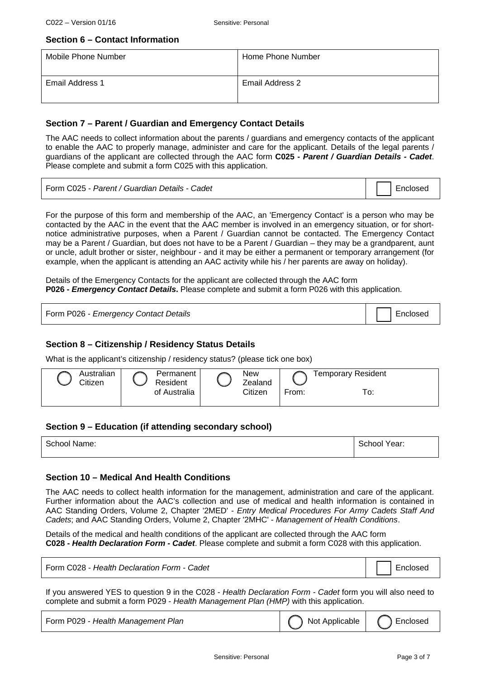### **Section 6 – Contact Information**

| Mobile Phone Number | Home Phone Number |
|---------------------|-------------------|
| Email Address 1     | Email Address 2   |

### **Section 7 – Parent / Guardian and Emergency Contact Details**

The AAC needs to collect information about the parents / guardians and emergency contacts of the applicant to enable the AAC to properly manage, administer and care for the applicant. Details of the legal parents / guardians of the applicant are collected through the AAC form **C025 -** *Parent / Guardian Details - Cadet*. Please complete and submit a form C025 with this application.

| Form C025 - Parent / Guardian Details - Cadet | Enclosed |
|-----------------------------------------------|----------|
|-----------------------------------------------|----------|

For the purpose of this form and membership of the AAC, an 'Emergency Contact' is a person who may be contacted by the AAC in the event that the AAC member is involved in an emergency situation, or for shortnotice administrative purposes, when a Parent / Guardian cannot be contacted. The Emergency Contact may be a Parent / Guardian, but does not have to be a Parent / Guardian – they may be a grandparent, aunt or uncle, adult brother or sister, neighbour - and it may be either a permanent or temporary arrangement (for example, when the applicant is attending an AAC activity while his / her parents are away on holiday).

Details of the Emergency Contacts for the applicant are collected through the AAC form **P026 -** *Emergency Contact Details***.** Please complete and submit a form P026 with this application.

| Form P026 - Emergency Contact Details |  | Enclosed |
|---------------------------------------|--|----------|
|---------------------------------------|--|----------|

### **Section 8 – Citizenship / Residency Status Details**

What is the applicant's citizenship / residency status? (please tick one box)

| Australian<br>Citizen | Permanent<br>Resident | <b>New</b><br>Zealand |       | <b>Temporary Resident</b> |
|-----------------------|-----------------------|-----------------------|-------|---------------------------|
|                       | of Australia          | Citizen               | From: | ™о:                       |

### **Section 9 – Education (if attending secondary school)**

| School Name: | School Year: |
|--------------|--------------|
|              |              |

### **Section 10 – Medical And Health Conditions**

The AAC needs to collect health information for the management, administration and care of the applicant. Further information about the AAC's collection and use of medical and health information is contained in AAC Standing Orders, Volume 2, Chapter '2MED' - *Entry Medical Procedures For Army Cadets Staff And Cadets*; and AAC Standing Orders, Volume 2, Chapter '2MHC' - *Management of Health Conditions*.

Details of the medical and health conditions of the applicant are collected through the AAC form **C028 -** *Health Declaration Form - Cadet*. Please complete and submit a form C028 with this application.

| Form C028 - Health Declaration Form - Cadet |  |  |
|---------------------------------------------|--|--|
|                                             |  |  |

If you answered YES to question 9 in the C028 - *Health Declaration Form - Cadet* form you will also need to complete and submit a form P029 - *Health Management Plan (HMP)* with this application.

| Form P029 - Health Management Plan | Not Applicable | Enclosed |
|------------------------------------|----------------|----------|
|------------------------------------|----------------|----------|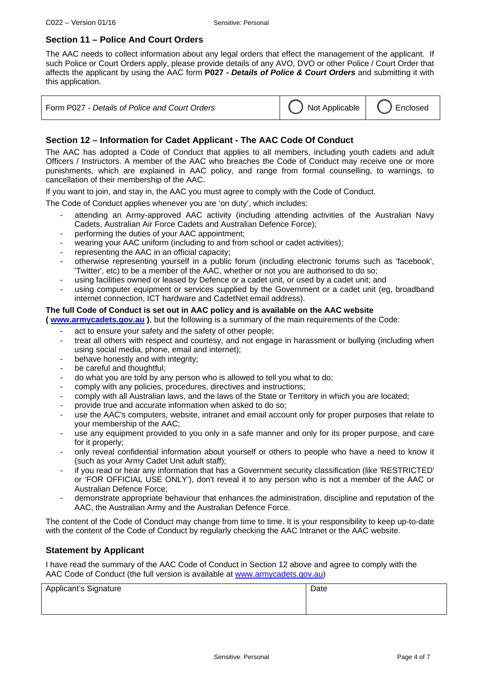# **Section 11 – Police And Court Orders**

The AAC needs to collect information about any legal orders that effect the management of the applicant. If such Police or Court Orders apply, please provide details of any AVO, DVO or other Police / Court Order that affects the applicant by using the AAC form **P027 -** *Details of Police & Court Orders* and submitting it with this application.

| Form P027 - Details of Police and Court Orders | Not Applicable   C Enclosed |  |
|------------------------------------------------|-----------------------------|--|
|------------------------------------------------|-----------------------------|--|

### **Section 12 – Information for Cadet Applicant - The AAC Code Of Conduct**

The AAC has adopted a Code of Conduct that applies to all members, including youth cadets and adult Officers / Instructors. A member of the AAC who breaches the Code of Conduct may receive one or more punishments, which are explained in AAC policy, and range from formal counselling, to warnings, to cancellation of their membership of the AAC.

If you want to join, and stay in, the AAC you must agree to comply with the Code of Conduct.

The Code of Conduct applies whenever you are 'on duty', which includes:

- attending an Army-approved AAC activity (including attending activities of the Australian Navy Cadets, Australian Air Force Cadets and Australian Defence Force);
- performing the duties of your AAC appointment;
- wearing your AAC uniform (including to and from school or cadet activities);
- representing the AAC in an official capacity;
- otherwise representing yourself in a public forum (including electronic forums such as 'facebook', 'Twitter', etc) to be a member of the AAC, whether or not you are authorised to do so;
- using facilities owned or leased by Defence or a cadet unit, or used by a cadet unit; and
- using computer equipment or services supplied by the Government or a cadet unit (eg, broadband internet connection, ICT hardware and CadetNet email address).

### **The full Code of Conduct is set out in AAC policy and is available on the AAC website**

**( [www.armycadets.gov.au](http://www.armycadets.gov.au/) )**, but the following is a summary of the main requirements of the Code:

- act to ensure your safety and the safety of other people;
- treat all others with respect and courtesy, and not engage in harassment or bullying (including when using social media, phone, email and internet);
- behave honestly and with integrity;
- be careful and thoughtful;
- do what you are told by any person who is allowed to tell you what to do;
- comply with any policies, procedures, directives and instructions;
- comply with all Australian laws, and the laws of the State or Territory in which you are located;
- provide true and accurate information when asked to do so;
- use the AAC's computers, website, intranet and email account only for proper purposes that relate to your membership of the AAC;
- use any equipment provided to you only in a safe manner and only for its proper purpose, and care for it properly;
- only reveal confidential information about yourself or others to people who have a need to know it (such as your Army Cadet Unit adult staff);
- if you read or hear any information that has a Government security classification (like 'RESTRICTED' or 'FOR OFFICIAL USE ONLY'), don't reveal it to any person who is not a member of the AAC or Australian Defence Force;
- demonstrate appropriate behaviour that enhances the administration, discipline and reputation of the AAC, the Australian Army and the Australian Defence Force.

The content of the Code of Conduct may change from time to time. It is your responsibility to keep up-to-date with the content of the Code of Conduct by regularly checking the AAC Intranet or the AAC website.

### **Statement by Applicant**

I have read the summary of the AAC Code of Conduct in Section 12 above and agree to comply with the AAC Code of Conduct (the full version is available at [www.armycadets.gov.au\)](http://www.armycadets.gov.au/)

| <b>Applicant's Signature</b> | Date |
|------------------------------|------|
|                              |      |
|                              |      |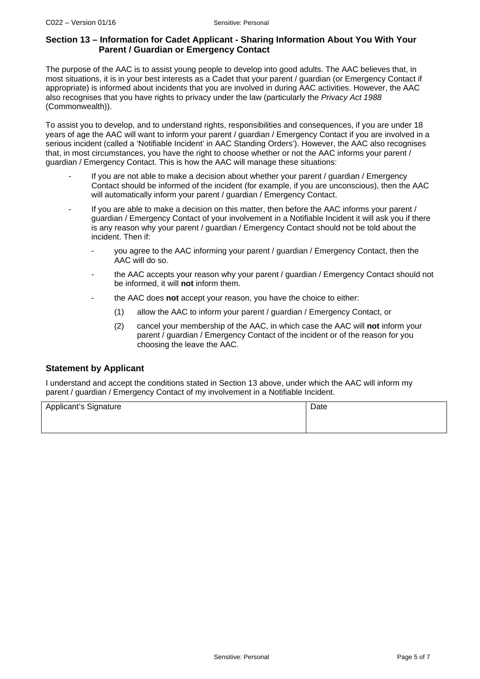### **Section 13 – Information for Cadet Applicant - Sharing Information About You With Your Parent / Guardian or Emergency Contact**

The purpose of the AAC is to assist young people to develop into good adults. The AAC believes that, in most situations, it is in your best interests as a Cadet that your parent / guardian (or Emergency Contact if appropriate) is informed about incidents that you are involved in during AAC activities. However, the AAC also recognises that you have rights to privacy under the law (particularly the *Privacy Act 1988* (Commonwealth)).

To assist you to develop, and to understand rights, responsibilities and consequences, if you are under 18 years of age the AAC will want to inform your parent / guardian / Emergency Contact if you are involved in a serious incident (called a 'Notifiable Incident' in AAC Standing Orders'). However, the AAC also recognises that, in most circumstances, you have the right to choose whether or not the AAC informs your parent / guardian / Emergency Contact. This is how the AAC will manage these situations:

- If you are not able to make a decision about whether your parent / quardian / Emergency Contact should be informed of the incident (for example, if you are unconscious), then the AAC will automatically inform your parent / quardian / Emergency Contact.
- If you are able to make a decision on this matter, then before the AAC informs your parent / guardian / Emergency Contact of your involvement in a Notifiable Incident it will ask you if there is any reason why your parent / guardian / Emergency Contact should not be told about the incident. Then if:
	- you agree to the AAC informing your parent / guardian / Emergency Contact, then the AAC will do so.
	- the AAC accepts your reason why your parent / guardian / Emergency Contact should not be informed, it will **not** inform them.
	- the AAC does **not** accept your reason, you have the choice to either:
		- (1) allow the AAC to inform your parent / guardian / Emergency Contact, or
		- (2) cancel your membership of the AAC, in which case the AAC will **not** inform your parent / guardian / Emergency Contact of the incident or of the reason for you choosing the leave the AAC.

# **Statement by Applicant**

I understand and accept the conditions stated in Section 13 above, under which the AAC will inform my parent / guardian / Emergency Contact of my involvement in a Notifiable Incident.

| Applicant's Signature | Date |
|-----------------------|------|
|                       |      |
|                       |      |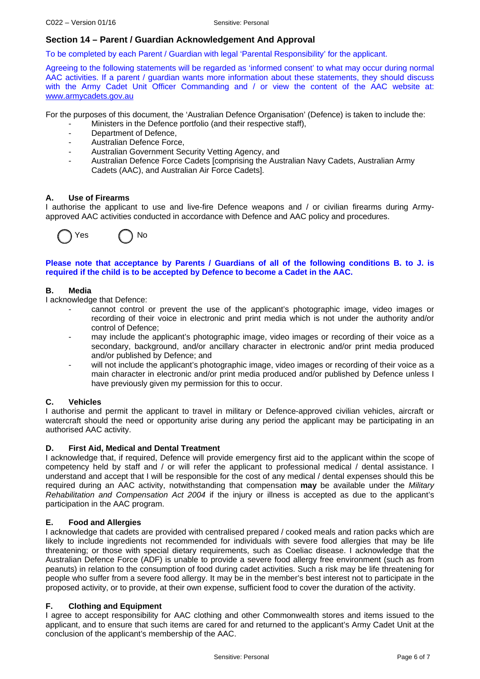### **Section 14 – Parent / Guardian Acknowledgement And Approval**

To be completed by each Parent / Guardian with legal 'Parental Responsibility' for the applicant.

Agreeing to the following statements will be regarded as 'informed consent' to what may occur during normal AAC activities. If a parent / guardian wants more information about these statements, they should discuss with the Army Cadet Unit Officer Commanding and / or view the content of the AAC website at: [www.armycadets.gov.au](http://www.armycadets.gov.au/)

For the purposes of this document, the 'Australian Defence Organisation' (Defence) is taken to include the:

- Ministers in the Defence portfolio (and their respective staff),
- Department of Defence,
- Australian Defence Force,
- Australian Government Security Vetting Agency, and
- Australian Defence Force Cadets [comprising the Australian Navy Cadets, Australian Army Cadets (AAC), and Australian Air Force Cadets].

#### **A. Use of Firearms**

I authorise the applicant to use and live-fire Defence weapons and / or civilian firearms during Armyapproved AAC activities conducted in accordance with Defence and AAC policy and procedures.



**Please note that acceptance by Parents / Guardians of all of the following conditions B. to J. is required if the child is to be accepted by Defence to become a Cadet in the AAC.** 

#### **B. Media**

I acknowledge that Defence:

- cannot control or prevent the use of the applicant's photographic image, video images or recording of their voice in electronic and print media which is not under the authority and/or control of Defence;
- may include the applicant's photographic image, video images or recording of their voice as a secondary, background, and/or ancillary character in electronic and/or print media produced and/or published by Defence; and
- will not include the applicant's photographic image, video images or recording of their voice as a main character in electronic and/or print media produced and/or published by Defence unless I have previously given my permission for this to occur.

### **C. Vehicles**

I authorise and permit the applicant to travel in military or Defence-approved civilian vehicles, aircraft or watercraft should the need or opportunity arise during any period the applicant may be participating in an authorised AAC activity.

#### **D. First Aid, Medical and Dental Treatment**

I acknowledge that, if required, Defence will provide emergency first aid to the applicant within the scope of competency held by staff and / or will refer the applicant to professional medical / dental assistance. I understand and accept that I will be responsible for the cost of any medical / dental expenses should this be required during an AAC activity, notwithstanding that compensation **may** be available under the *Military Rehabilitation and Compensation Act 2004* if the injury or illness is accepted as due to the applicant's participation in the AAC program.

#### **E. Food and Allergies**

I acknowledge that cadets are provided with centralised prepared / cooked meals and ration packs which are likely to include ingredients not recommended for individuals with severe food allergies that may be life threatening; or those with special dietary requirements, such as Coeliac disease. I acknowledge that the Australian Defence Force (ADF) is unable to provide a severe food allergy free environment (such as from peanuts) in relation to the consumption of food during cadet activities. Such a risk may be life threatening for people who suffer from a severe food allergy. It may be in the member's best interest not to participate in the proposed activity, or to provide, at their own expense, sufficient food to cover the duration of the activity.

### **F. Clothing and Equipment**

I agree to accept responsibility for AAC clothing and other Commonwealth stores and items issued to the applicant, and to ensure that such items are cared for and returned to the applicant's Army Cadet Unit at the conclusion of the applicant's membership of the AAC.